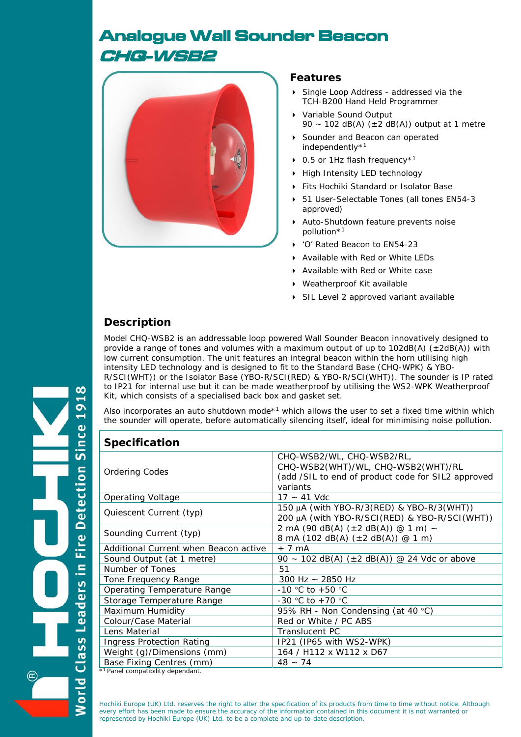# Analogue Wall Sounder Beacon CHQ-WSB2



#### **Features**

- Single Loop Address addressed via the TCH-B200 Hand Held Programmer
- Variable Sound Output 90 ~ 102 dB(A)  $(\pm 2$  dB(A)) output at 1 metre
- Sounder and Beacon can operated independently\*1
- ▶ 0.5 or 1Hz flash frequency<sup>\*1</sup>
- High Intensity LED technology
- Fits Hochiki Standard or Isolator Base
- 51 User-Selectable Tones (all tones EN54-3 approved)
- Auto-Shutdown feature prevents noise pollution\*1
- 'O' Rated Beacon to EN54-23
- ▶ Available with Red or White LEDs
- Available with Red or White case
- Weatherproof Kit available
- ▶ SIL Level 2 approved variant available

# **Description**

Model CHQ-WSB2 is an addressable loop powered Wall Sounder Beacon innovatively designed to provide a range of tones and volumes with a maximum output of up to  $102dB(A)$  ( $\pm 2dB(A)$ ) with low current consumption. The unit features an integral beacon within the horn utilising high intensity LED technology and is designed to fit to the Standard Base (CHQ-WPK) & YBO-R/SCI(WHT)) or the Isolator Base (YBO-R/SCI(RED) & YBO-R/SCI(WHT)). The sounder is IP rated to IP21 for internal use but it can be made weatherproof by utilising the WS2-WPK Weatherproof Kit, which consists of a specialised back box and gasket set.

Also incorporates an auto shutdown mode\*<sup>1</sup> which allows the user to set a fixed time within which the sounder will operate, before automatically silencing itself, ideal for minimising noise pollution.

| <b>Specification</b>                          |                                                                                                                                   |  |  |  |
|-----------------------------------------------|-----------------------------------------------------------------------------------------------------------------------------------|--|--|--|
| <b>Ordering Codes</b>                         | CHQ-WSB2/WL, CHQ-WSB2/RL,<br>CHQ-WSB2(WHT)/WL, CHQ-WSB2(WHT)/RL<br>(add /SIL to end of product code for SIL2 approved<br>variants |  |  |  |
| Operating Voltage                             | $17 - 41$ Vdc                                                                                                                     |  |  |  |
| Quiescent Current (typ)                       | 150 μA (with YBO-R/3(RED) & YBO-R/3(WHT))<br>200 µA (with YBO-R/SCI(RED) & YBO-R/SCI(WHT))                                        |  |  |  |
| Sounding Current (typ)                        | 2 mA (90 dB(A) $(\pm 2$ dB(A)) @ 1 m) ~<br>8 mA (102 dB(A) $(\pm 2$ dB(A)) @ 1 m)                                                 |  |  |  |
| Additional Current when Beacon active         | $+7$ mA                                                                                                                           |  |  |  |
| Sound Output (at 1 metre)                     | 90 ~ 102 dB(A) $(\pm 2$ dB(A)) @ 24 Vdc or above                                                                                  |  |  |  |
| Number of Tones                               | 51                                                                                                                                |  |  |  |
| Tone Frequency Range                          | 300 Hz $\sim$ 2850 Hz                                                                                                             |  |  |  |
| Operating Temperature Range                   | $-10$ °C to $+50$ °C                                                                                                              |  |  |  |
| Storage Temperature Range                     | -30 °C to +70 °C                                                                                                                  |  |  |  |
| Maximum Humidity                              | 95% RH - Non Condensing (at 40 °C)                                                                                                |  |  |  |
| Colour/Case Material                          | Red or White / PC ABS                                                                                                             |  |  |  |
| Lens Material                                 | <b>Translucent PC</b>                                                                                                             |  |  |  |
| <b>Ingress Protection Rating</b>              | IP21 (IP65 with WS2-WPK)                                                                                                          |  |  |  |
| Weight (g)/Dimensions (mm)                    | 164 / H112 x W112 x D67                                                                                                           |  |  |  |
| Base Fixing Centres (mm)                      | $48 - 74$                                                                                                                         |  |  |  |
| * <sup>1</sup> Panel compatibility dependant. |                                                                                                                                   |  |  |  |

Hochiki Europe (UK) Ltd. reserves the right to alter the specification of its products from time to time without notice. Although every effort has been made to ensure the accuracy of the information contained in this document it is not warranted or represented by Hochiki Europe (UK) Ltd. to be a complete and up-to-date description.

 $\overline{5}$  $\mathbf{a}$ Since **Detection** Fire I  $\equiv$ eaders orld

 $\infty$